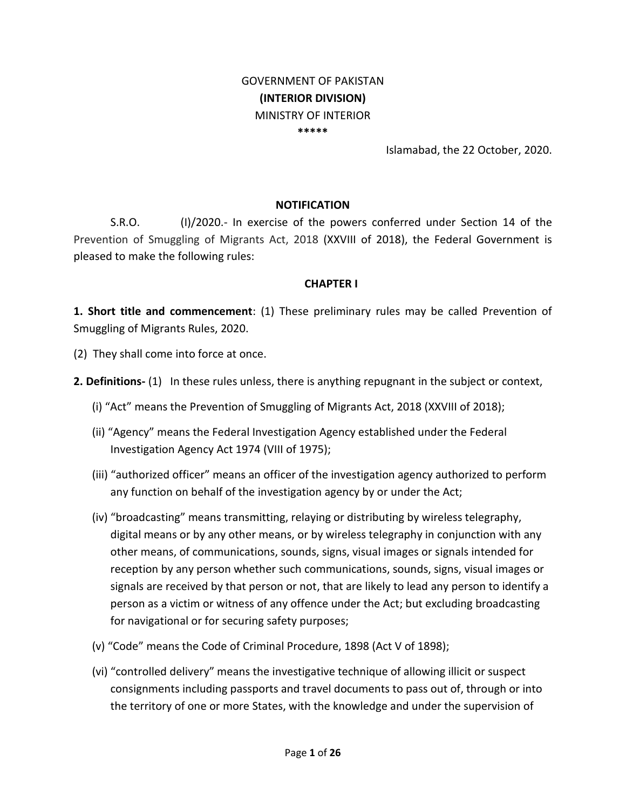### GOVERNMENT OF PAKISTAN **(INTERIOR DIVISION)** MINISTRY OF INTERIOR **\*\*\*\*\***

Islamabad, the 22 October, 2020.

#### **NOTIFICATION**

S.R.O. (I)/2020.- In exercise of the powers conferred under Section 14 of the Prevention of Smuggling of Migrants Act, 2018 (XXVIII of 2018), the Federal Government is pleased to make the following rules:

#### **CHAPTER I**

**1. Short title and commencement**: (1) These preliminary rules may be called Prevention of Smuggling of Migrants Rules, 2020.

(2) They shall come into force at once.

**2. Definitions-** (1) In these rules unless, there is anything repugnant in the subject or context,

- (i) "Act" means the Prevention of Smuggling of Migrants Act, 2018 (XXVIII of 2018);
- (ii) "Agency" means the Federal Investigation Agency established under the Federal Investigation Agency Act 1974 (VIII of 1975);
- (iii) "authorized officer" means an officer of the investigation agency authorized to perform any function on behalf of the investigation agency by or under the Act;
- (iv) "broadcasting" means transmitting, relaying or distributing by wireless telegraphy, digital means or by any other means, or by wireless telegraphy in conjunction with any other means, of communications, sounds, signs, visual images or signals intended for reception by any person whether such communications, sounds, signs, visual images or signals are received by that person or not, that are likely to lead any person to identify a person as a victim or witness of any offence under the Act; but excluding broadcasting for navigational or for securing safety purposes;
- (v) "Code" means the Code of Criminal Procedure, 1898 (Act V of 1898);
- (vi) "controlled delivery" means the investigative technique of allowing illicit or suspect consignments including passports and travel documents to pass out of, through or into the territory of one or more States, with the knowledge and under the supervision of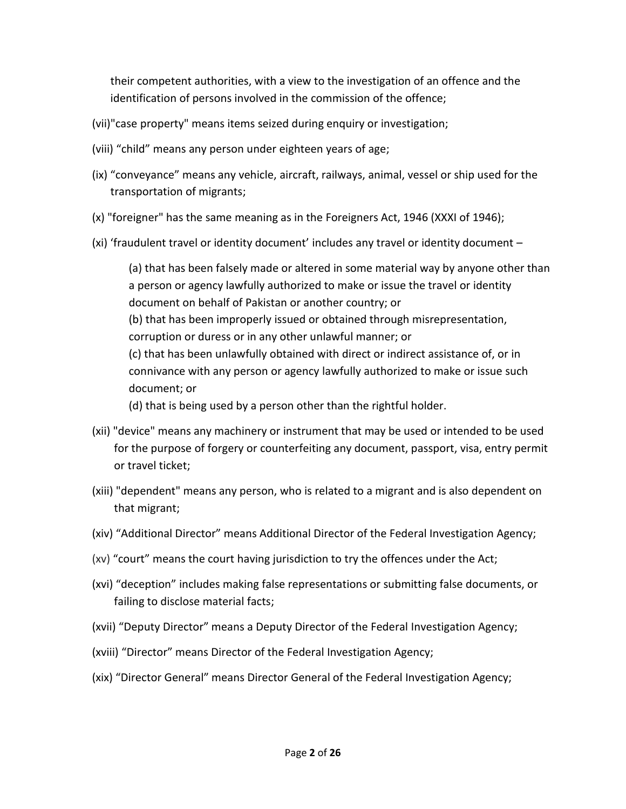their competent authorities, with a view to the investigation of an offence and the identification of persons involved in the commission of the offence;

- (vii)"case property" means items seized during enquiry or investigation;
- (viii) "child" means any person under eighteen years of age;
- (ix) "conveyance" means any vehicle, aircraft, railways, animal, vessel or ship used for the transportation of migrants;
- (x) "foreigner" has the same meaning as in the Foreigners Act, 1946 (XXXI of 1946);
- (xi) 'fraudulent travel or identity document' includes any travel or identity document –

(a) that has been falsely made or altered in some material way by anyone other than a person or agency lawfully authorized to make or issue the travel or identity document on behalf of Pakistan or another country; or (b) that has been improperly issued or obtained through misrepresentation, corruption or duress or in any other unlawful manner; or (c) that has been unlawfully obtained with direct or indirect assistance of, or in connivance with any person or agency lawfully authorized to make or issue such document; or

(d) that is being used by a person other than the rightful holder.

- (xii) "device" means any machinery or instrument that may be used or intended to be used for the purpose of forgery or counterfeiting any document, passport, visa, entry permit or travel ticket;
- (xiii) "dependent" means any person, who is related to a migrant and is also dependent on that migrant;
- (xiv) "Additional Director" means Additional Director of the Federal Investigation Agency;
- (xv) "court" means the court having jurisdiction to try the offences under the Act;
- (xvi) "deception" includes making false representations or submitting false documents, or failing to disclose material facts;
- (xvii) "Deputy Director" means a Deputy Director of the Federal Investigation Agency;
- (xviii) "Director" means Director of the Federal Investigation Agency;
- (xix) "Director General" means Director General of the Federal Investigation Agency;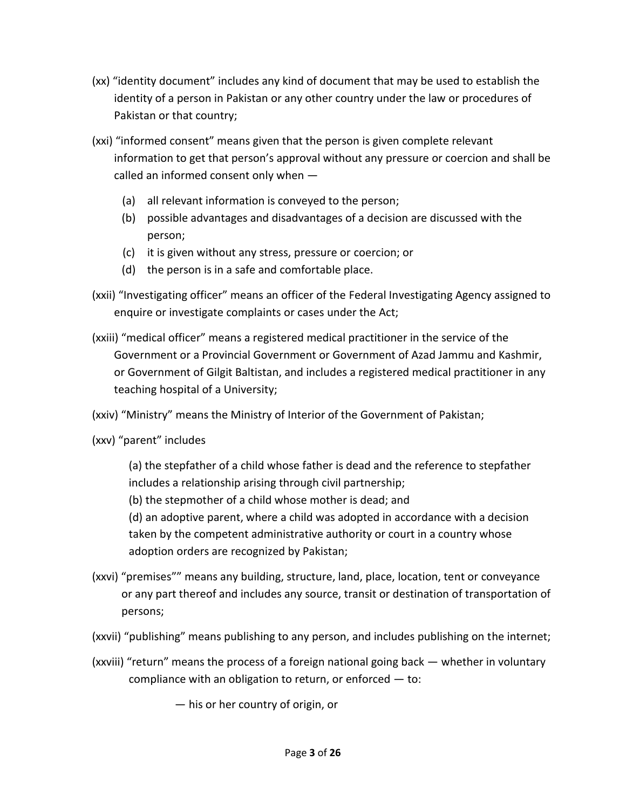- (xx) "identity document" includes any kind of document that may be used to establish the identity of a person in Pakistan or any other country under the law or procedures of Pakistan or that country;
- (xxi) "informed consent" means given that the person is given complete relevant information to get that person's approval without any pressure or coercion and shall be called an informed consent only when —
	- (a) all relevant information is conveyed to the person;
	- (b) possible advantages and disadvantages of a decision are discussed with the person;
	- (c) it is given without any stress, pressure or coercion; or
	- (d) the person is in a safe and comfortable place.
- (xxii) "Investigating officer" means an officer of the Federal Investigating Agency assigned to enquire or investigate complaints or cases under the Act;
- (xxiii) "medical officer" means a registered medical practitioner in the service of the Government or a Provincial Government or Government of Azad Jammu and Kashmir, or Government of Gilgit Baltistan, and includes a registered medical practitioner in any teaching hospital of a University;
- (xxiv) "Ministry" means the Ministry of Interior of the Government of Pakistan;
- (xxv) "parent" includes

(a) the stepfather of a child whose father is dead and the reference to stepfather includes a relationship arising through civil partnership;

(b) the stepmother of a child whose mother is dead; and

(d) an adoptive parent, where a child was adopted in accordance with a decision taken by the competent administrative authority or court in a country whose adoption orders are recognized by Pakistan;

- (xxvi) "premises"" means any building, structure, land, place, location, tent or conveyance or any part thereof and includes any source, transit or destination of transportation of persons;
- (xxvii) "publishing" means publishing to any person, and includes publishing on the internet;
- (xxviii) "return" means the process of a foreign national going back whether in voluntary compliance with an obligation to return, or enforced  $-$  to:

— his or her country of origin, or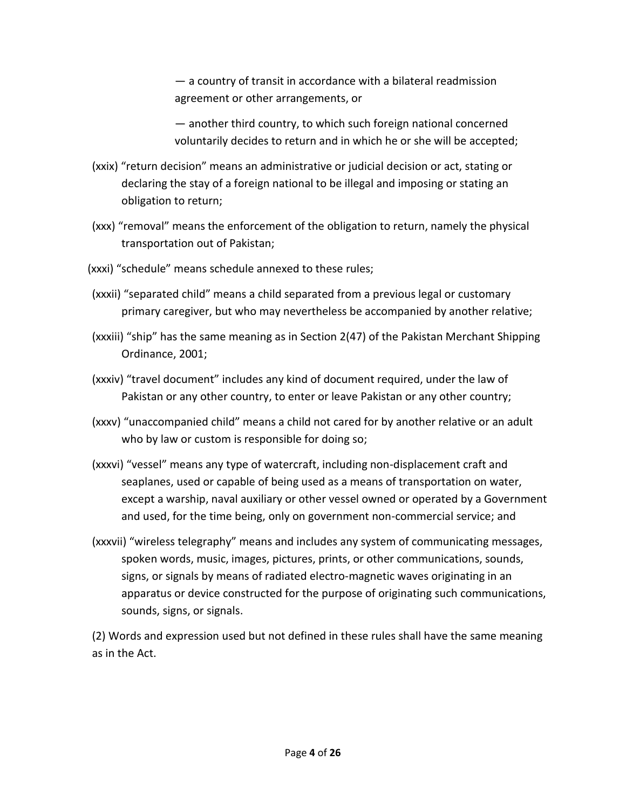— a country of transit in accordance with a bilateral readmission agreement or other arrangements, or

— another third country, to which such foreign national concerned voluntarily decides to return and in which he or she will be accepted;

- (xxix) "return decision" means an administrative or judicial decision or act, stating or declaring the stay of a foreign national to be illegal and imposing or stating an obligation to return;
- (xxx) "removal" means the enforcement of the obligation to return, namely the physical transportation out of Pakistan;
- (xxxi) "schedule" means schedule annexed to these rules;
- (xxxii) "separated child" means a child separated from a previous legal or customary primary caregiver, but who may nevertheless be accompanied by another relative;
- (xxxiii) "ship" has the same meaning as in Section 2(47) of the Pakistan Merchant Shipping Ordinance, 2001;
- (xxxiv) "travel document" includes any kind of document required, under the law of Pakistan or any other country, to enter or leave Pakistan or any other country;
- (xxxv) "unaccompanied child" means a child not cared for by another relative or an adult who by law or custom is responsible for doing so;
- (xxxvi) "vessel" means any type of watercraft, including non-displacement craft and seaplanes, used or capable of being used as a means of transportation on water, except a warship, naval auxiliary or other vessel owned or operated by a Government and used, for the time being, only on government non-commercial service; and
- (xxxvii) "wireless telegraphy" means and includes any system of communicating messages, spoken words, music, images, pictures, prints, or other communications, sounds, signs, or signals by means of radiated electro-magnetic waves originating in an apparatus or device constructed for the purpose of originating such communications, sounds, signs, or signals.

(2) Words and expression used but not defined in these rules shall have the same meaning as in the Act.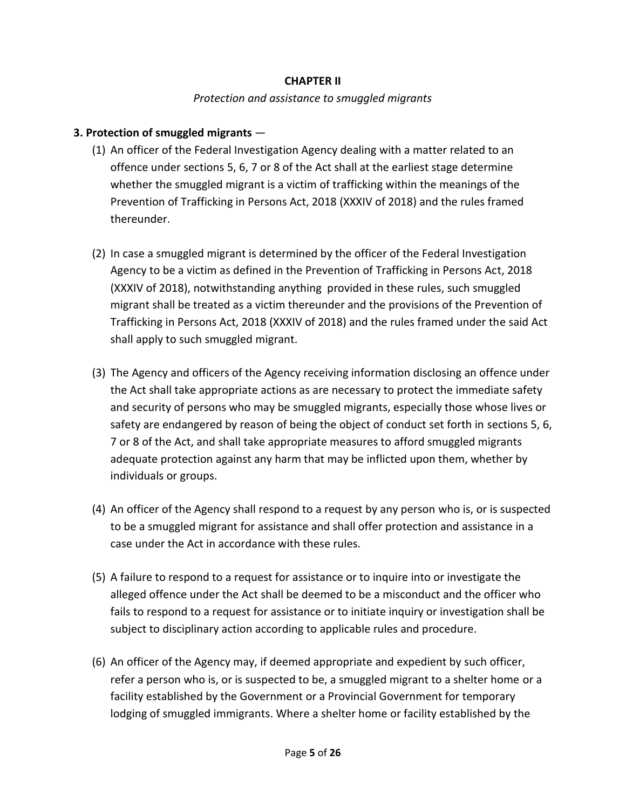### **CHAPTER II**

#### *Protection and assistance to smuggled migrants*

#### **3. Protection of smuggled migrants** —

- (1) An officer of the Federal Investigation Agency dealing with a matter related to an offence under sections 5, 6, 7 or 8 of the Act shall at the earliest stage determine whether the smuggled migrant is a victim of trafficking within the meanings of the Prevention of Trafficking in Persons Act, 2018 (XXXIV of 2018) and the rules framed thereunder.
- (2) In case a smuggled migrant is determined by the officer of the Federal Investigation Agency to be a victim as defined in the Prevention of Trafficking in Persons Act, 2018 (XXXIV of 2018), notwithstanding anything provided in these rules, such smuggled migrant shall be treated as a victim thereunder and the provisions of the Prevention of Trafficking in Persons Act, 2018 (XXXIV of 2018) and the rules framed under the said Act shall apply to such smuggled migrant.
- (3) The Agency and officers of the Agency receiving information disclosing an offence under the Act shall take appropriate actions as are necessary to protect the immediate safety and security of persons who may be smuggled migrants, especially those whose lives or safety are endangered by reason of being the object of conduct set forth in sections 5, 6, 7 or 8 of the Act, and shall take appropriate measures to afford smuggled migrants adequate protection against any harm that may be inflicted upon them, whether by individuals or groups.
- (4) An officer of the Agency shall respond to a request by any person who is, or is suspected to be a smuggled migrant for assistance and shall offer protection and assistance in a case under the Act in accordance with these rules.
- (5) A failure to respond to a request for assistance or to inquire into or investigate the alleged offence under the Act shall be deemed to be a misconduct and the officer who fails to respond to a request for assistance or to initiate inquiry or investigation shall be subject to disciplinary action according to applicable rules and procedure.
- (6) An officer of the Agency may, if deemed appropriate and expedient by such officer, refer a person who is, or is suspected to be, a smuggled migrant to a shelter home or a facility established by the Government or a Provincial Government for temporary lodging of smuggled immigrants. Where a shelter home or facility established by the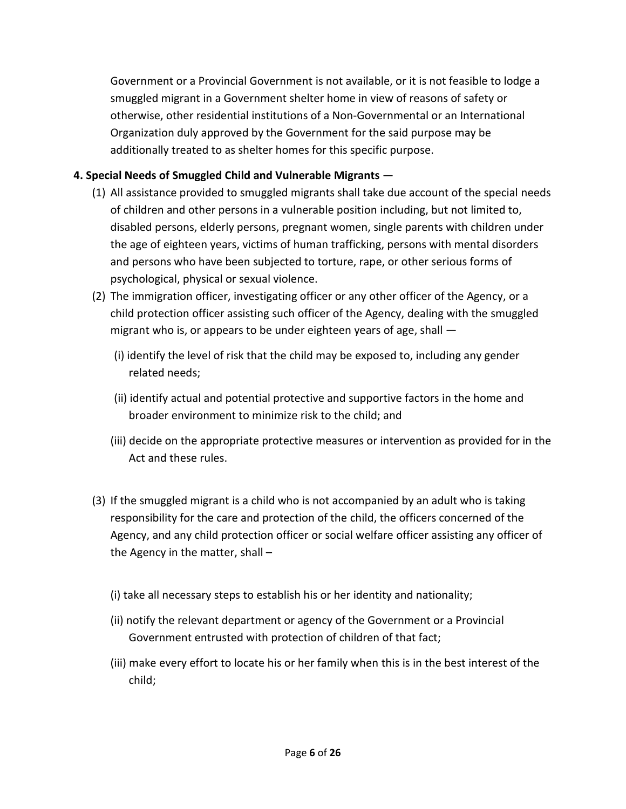Government or a Provincial Government is not available, or it is not feasible to lodge a smuggled migrant in a Government shelter home in view of reasons of safety or otherwise, other residential institutions of a Non-Governmental or an International Organization duly approved by the Government for the said purpose may be additionally treated to as shelter homes for this specific purpose.

# **4. Special Needs of Smuggled Child and Vulnerable Migrants** —

- (1) All assistance provided to smuggled migrants shall take due account of the special needs of children and other persons in a vulnerable position including, but not limited to, disabled persons, elderly persons, pregnant women, single parents with children under the age of eighteen years, victims of human trafficking, persons with mental disorders and persons who have been subjected to torture, rape, or other serious forms of psychological, physical or sexual violence.
- (2) The immigration officer, investigating officer or any other officer of the Agency, or a child protection officer assisting such officer of the Agency, dealing with the smuggled migrant who is, or appears to be under eighteen years of age, shall —
	- (i) identify the level of risk that the child may be exposed to, including any gender related needs;
	- (ii) identify actual and potential protective and supportive factors in the home and broader environment to minimize risk to the child; and
	- (iii) decide on the appropriate protective measures or intervention as provided for in the Act and these rules.
- (3) If the smuggled migrant is a child who is not accompanied by an adult who is taking responsibility for the care and protection of the child, the officers concerned of the Agency, and any child protection officer or social welfare officer assisting any officer of the Agency in the matter, shall –
	- (i) take all necessary steps to establish his or her identity and nationality;
	- (ii) notify the relevant department or agency of the Government or a Provincial Government entrusted with protection of children of that fact;
	- (iii) make every effort to locate his or her family when this is in the best interest of the child;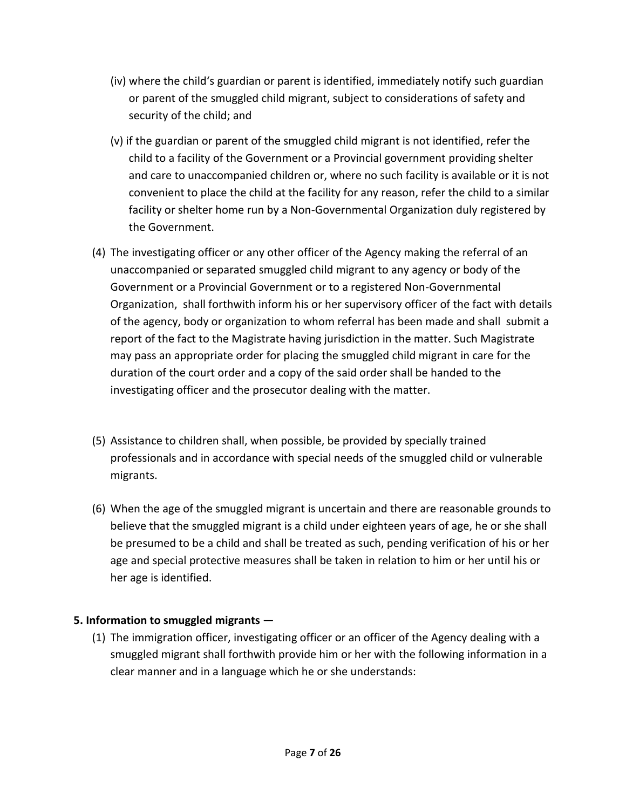- (iv) where the child's guardian or parent is identified, immediately notify such guardian or parent of the smuggled child migrant, subject to considerations of safety and security of the child; and
- (v) if the guardian or parent of the smuggled child migrant is not identified, refer the child to a facility of the Government or a Provincial government providing shelter and care to unaccompanied children or, where no such facility is available or it is not convenient to place the child at the facility for any reason, refer the child to a similar facility or shelter home run by a Non-Governmental Organization duly registered by the Government.
- (4) The investigating officer or any other officer of the Agency making the referral of an unaccompanied or separated smuggled child migrant to any agency or body of the Government or a Provincial Government or to a registered Non-Governmental Organization, shall forthwith inform his or her supervisory officer of the fact with details of the agency, body or organization to whom referral has been made and shall submit a report of the fact to the Magistrate having jurisdiction in the matter. Such Magistrate may pass an appropriate order for placing the smuggled child migrant in care for the duration of the court order and a copy of the said order shall be handed to the investigating officer and the prosecutor dealing with the matter.
- (5) Assistance to children shall, when possible, be provided by specially trained professionals and in accordance with special needs of the smuggled child or vulnerable migrants.
- (6) When the age of the smuggled migrant is uncertain and there are reasonable grounds to believe that the smuggled migrant is a child under eighteen years of age, he or she shall be presumed to be a child and shall be treated as such, pending verification of his or her age and special protective measures shall be taken in relation to him or her until his or her age is identified.

# **5. Information to smuggled migrants** —

(1) The immigration officer, investigating officer or an officer of the Agency dealing with a smuggled migrant shall forthwith provide him or her with the following information in a clear manner and in a language which he or she understands: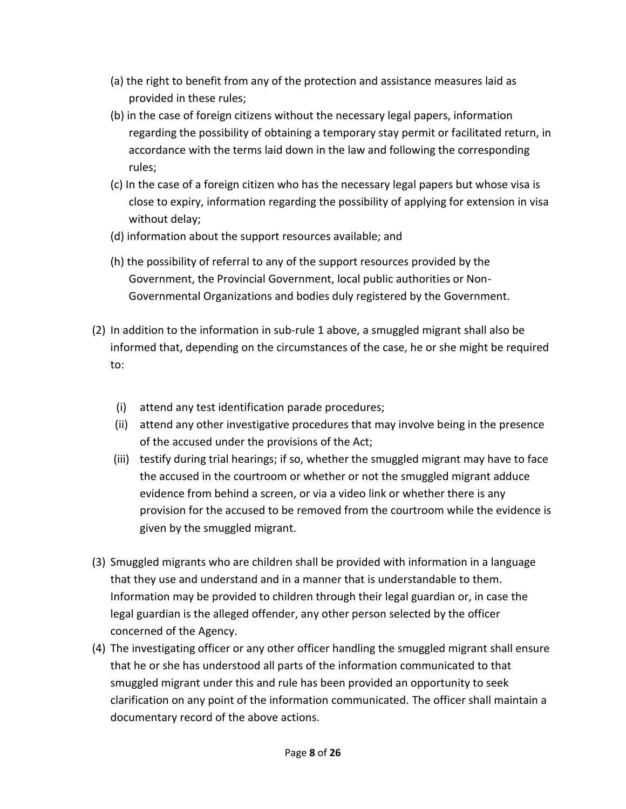- (a) the right to benefit from any of the protection and assistance measures laid as provided in these rules;
- (b) in the case of foreign citizens without the necessary legal papers, information regarding the possibility of obtaining a temporary stay permit or facilitated return, in accordance with the terms laid down in the law and following the corresponding rules;
- (c) In the case of a foreign citizen who has the necessary legal papers but whose visa is close to expiry, information regarding the possibility of applying for extension in visa without delay;
- (d) information about the support resources available; and
- (h) the possibility of referral to any of the support resources provided by the Government, the Provincial Government, local public authorities or Non-Governmental Organizations and bodies duly registered by the Government.
- (2) In addition to the information in sub-rule 1 above, a smuggled migrant shall also be informed that, depending on the circumstances of the case, he or she might be required to:
	- (i) attend any test identification parade procedures;
	- (ii) attend any other investigative procedures that may involve being in the presence of the accused under the provisions of the Act;
	- (iii) testify during trial hearings; if so, whether the smuggled migrant may have to face the accused in the courtroom or whether or not the smuggled migrant adduce evidence from behind a screen, or via a video link or whether there is any provision for the accused to be removed from the courtroom while the evidence is given by the smuggled migrant.
- (3) Smuggled migrants who are children shall be provided with information in a language that they use and understand and in a manner that is understandable to them. Information may be provided to children through their legal guardian or, in case the legal guardian is the alleged offender, any other person selected by the officer concerned of the Agency.
- (4) The investigating officer or any other officer handling the smuggled migrant shall ensure that he or she has understood all parts of the information communicated to that smuggled migrant under this and rule has been provided an opportunity to seek clarification on any point of the information communicated. The officer shall maintain a documentary record of the above actions.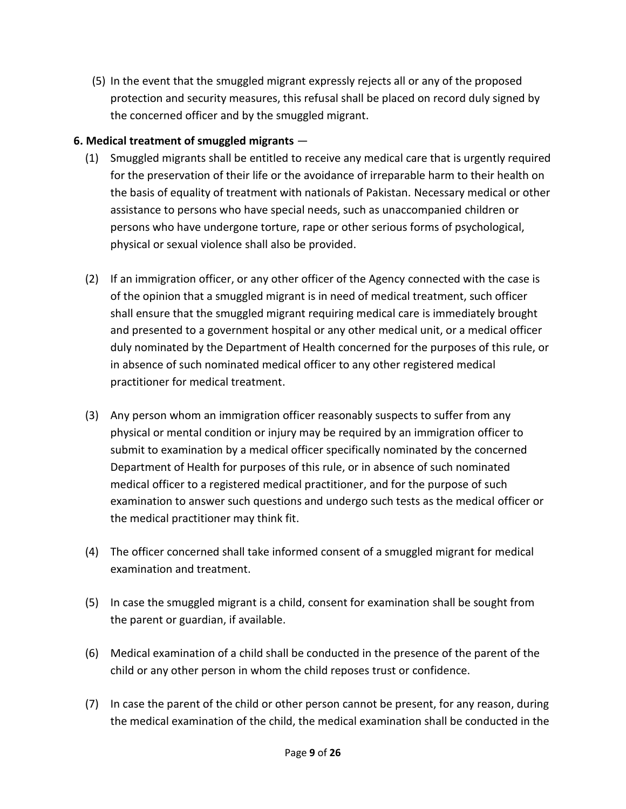(5) In the event that the smuggled migrant expressly rejects all or any of the proposed protection and security measures, this refusal shall be placed on record duly signed by the concerned officer and by the smuggled migrant.

# **6. Medical treatment of smuggled migrants** —

- (1) Smuggled migrants shall be entitled to receive any medical care that is urgently required for the preservation of their life or the avoidance of irreparable harm to their health on the basis of equality of treatment with nationals of Pakistan. Necessary medical or other assistance to persons who have special needs, such as unaccompanied children or persons who have undergone torture, rape or other serious forms of psychological, physical or sexual violence shall also be provided.
- (2) If an immigration officer, or any other officer of the Agency connected with the case is of the opinion that a smuggled migrant is in need of medical treatment, such officer shall ensure that the smuggled migrant requiring medical care is immediately brought and presented to a government hospital or any other medical unit, or a medical officer duly nominated by the Department of Health concerned for the purposes of this rule, or in absence of such nominated medical officer to any other registered medical practitioner for medical treatment.
- (3) Any person whom an immigration officer reasonably suspects to suffer from any physical or mental condition or injury may be required by an immigration officer to submit to examination by a medical officer specifically nominated by the concerned Department of Health for purposes of this rule, or in absence of such nominated medical officer to a registered medical practitioner, and for the purpose of such examination to answer such questions and undergo such tests as the medical officer or the medical practitioner may think fit.
- (4) The officer concerned shall take informed consent of a smuggled migrant for medical examination and treatment.
- (5) In case the smuggled migrant is a child, consent for examination shall be sought from the parent or guardian, if available.
- (6) Medical examination of a child shall be conducted in the presence of the parent of the child or any other person in whom the child reposes trust or confidence.
- (7) In case the parent of the child or other person cannot be present, for any reason, during the medical examination of the child, the medical examination shall be conducted in the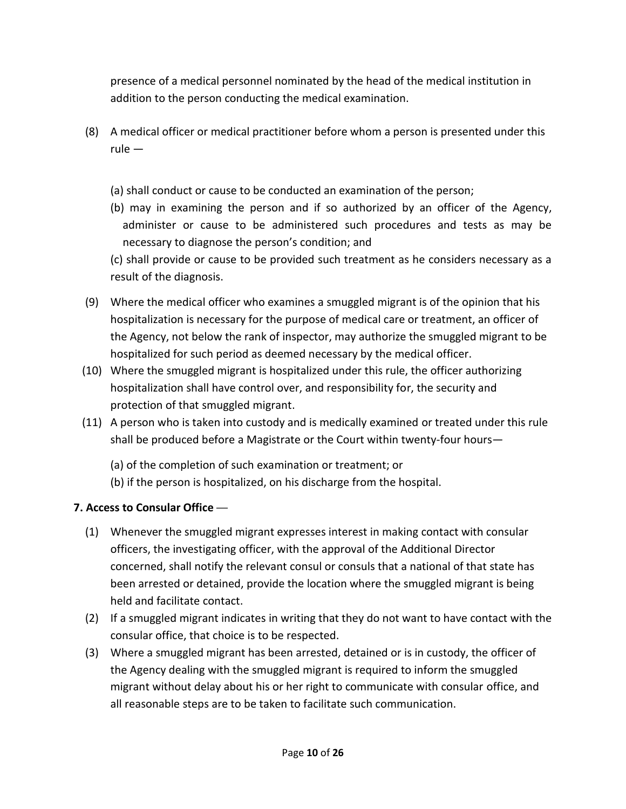presence of a medical personnel nominated by the head of the medical institution in addition to the person conducting the medical examination.

- (8) A medical officer or medical practitioner before whom a person is presented under this rule —
	- (a) shall conduct or cause to be conducted an examination of the person;
	- (b) may in examining the person and if so authorized by an officer of the Agency, administer or cause to be administered such procedures and tests as may be necessary to diagnose the person's condition; and

(c) shall provide or cause to be provided such treatment as he considers necessary as a result of the diagnosis.

- (9) Where the medical officer who examines a smuggled migrant is of the opinion that his hospitalization is necessary for the purpose of medical care or treatment, an officer of the Agency, not below the rank of inspector, may authorize the smuggled migrant to be hospitalized for such period as deemed necessary by the medical officer.
- (10) Where the smuggled migrant is hospitalized under this rule, the officer authorizing hospitalization shall have control over, and responsibility for, the security and protection of that smuggled migrant.
- (11) A person who is taken into custody and is medically examined or treated under this rule shall be produced before a Magistrate or the Court within twenty-four hours—
	- (a) of the completion of such examination or treatment; or
	- (b) if the person is hospitalized, on his discharge from the hospital.

# **7. Access to Consular Office** —

- (1) Whenever the smuggled migrant expresses interest in making contact with consular officers, the investigating officer, with the approval of the Additional Director concerned, shall notify the relevant consul or consuls that a national of that state has been arrested or detained, provide the location where the smuggled migrant is being held and facilitate contact.
- (2) If a smuggled migrant indicates in writing that they do not want to have contact with the consular office, that choice is to be respected.
- (3) Where a smuggled migrant has been arrested, detained or is in custody, the officer of the Agency dealing with the smuggled migrant is required to inform the smuggled migrant without delay about his or her right to communicate with consular office, and all reasonable steps are to be taken to facilitate such communication.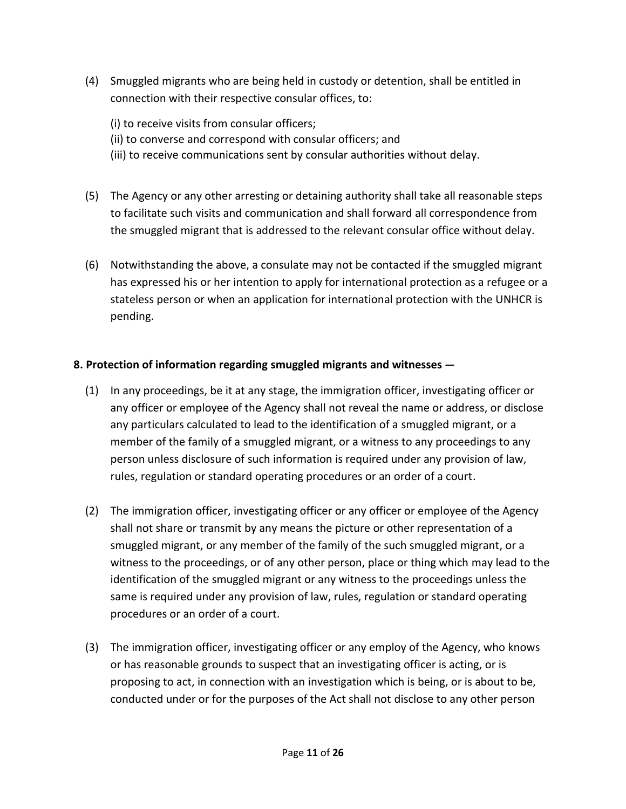- (4) Smuggled migrants who are being held in custody or detention, shall be entitled in connection with their respective consular offices, to:
	- (i) to receive visits from consular officers;
	- (ii) to converse and correspond with consular officers; and
	- (iii) to receive communications sent by consular authorities without delay.
- (5) The Agency or any other arresting or detaining authority shall take all reasonable steps to facilitate such visits and communication and shall forward all correspondence from the smuggled migrant that is addressed to the relevant consular office without delay.
- (6) Notwithstanding the above, a consulate may not be contacted if the smuggled migrant has expressed his or her intention to apply for international protection as a refugee or a stateless person or when an application for international protection with the UNHCR is pending.

# **8. Protection of information regarding smuggled migrants and witnesses —**

- (1) In any proceedings, be it at any stage, the immigration officer, investigating officer or any officer or employee of the Agency shall not reveal the name or address, or disclose any particulars calculated to lead to the identification of a smuggled migrant, or a member of the family of a smuggled migrant, or a witness to any proceedings to any person unless disclosure of such information is required under any provision of law, rules, regulation or standard operating procedures or an order of a court.
- (2) The immigration officer, investigating officer or any officer or employee of the Agency shall not share or transmit by any means the picture or other representation of a smuggled migrant, or any member of the family of the such smuggled migrant, or a witness to the proceedings, or of any other person, place or thing which may lead to the identification of the smuggled migrant or any witness to the proceedings unless the same is required under any provision of law, rules, regulation or standard operating procedures or an order of a court.
- (3) The immigration officer, investigating officer or any employ of the Agency, who knows or has reasonable grounds to suspect that an investigating officer is acting, or is proposing to act, in connection with an investigation which is being, or is about to be, conducted under or for the purposes of the Act shall not disclose to any other person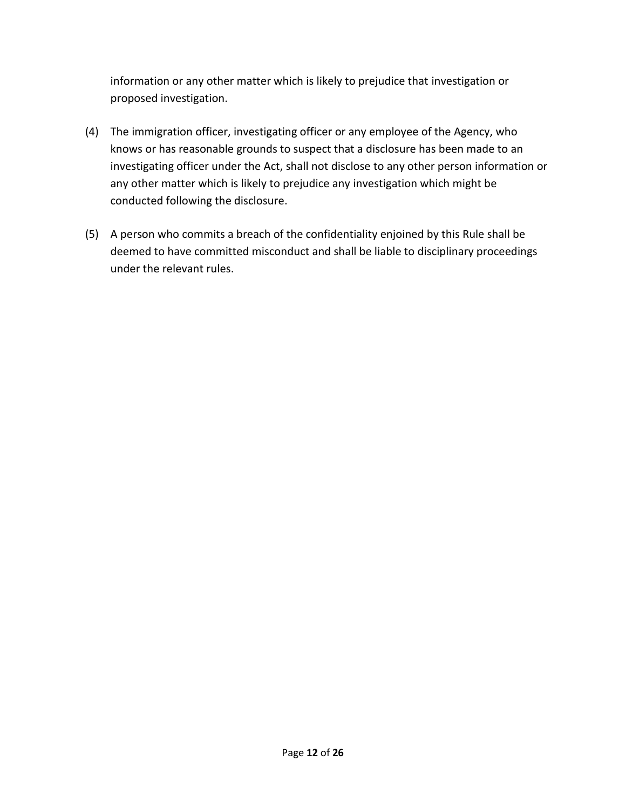information or any other matter which is likely to prejudice that investigation or proposed investigation.

- (4) The immigration officer, investigating officer or any employee of the Agency, who knows or has reasonable grounds to suspect that a disclosure has been made to an investigating officer under the Act, shall not disclose to any other person information or any other matter which is likely to prejudice any investigation which might be conducted following the disclosure.
- (5) A person who commits a breach of the confidentiality enjoined by this Rule shall be deemed to have committed misconduct and shall be liable to disciplinary proceedings under the relevant rules.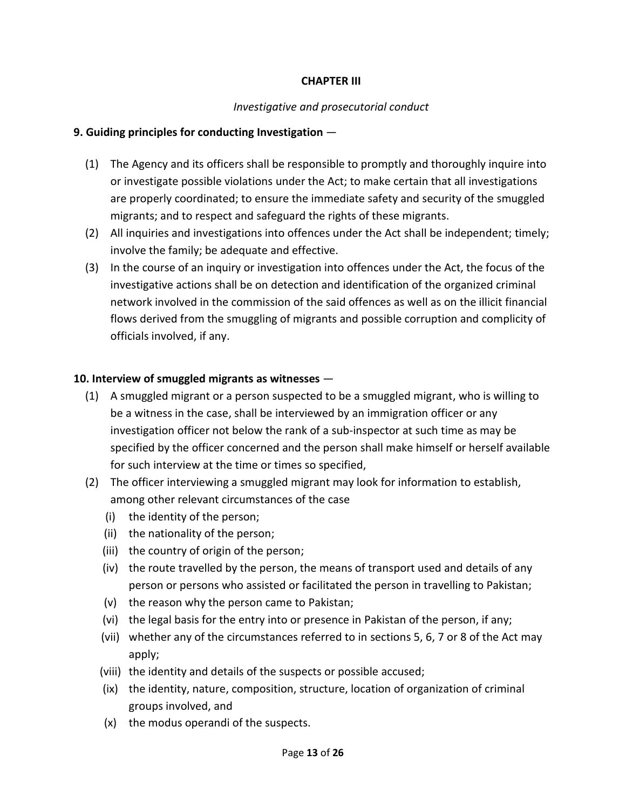### **CHAPTER III**

### *Investigative and prosecutorial conduct*

### **9. Guiding principles for conducting Investigation** —

- (1) The Agency and its officers shall be responsible to promptly and thoroughly inquire into or investigate possible violations under the Act; to make certain that all investigations are properly coordinated; to ensure the immediate safety and security of the smuggled migrants; and to respect and safeguard the rights of these migrants.
- (2) All inquiries and investigations into offences under the Act shall be independent; timely; involve the family; be adequate and effective.
- (3) In the course of an inquiry or investigation into offences under the Act, the focus of the investigative actions shall be on detection and identification of the organized criminal network involved in the commission of the said offences as well as on the illicit financial flows derived from the smuggling of migrants and possible corruption and complicity of officials involved, if any.

### **10. Interview of smuggled migrants as witnesses** —

- (1) A smuggled migrant or a person suspected to be a smuggled migrant, who is willing to be a witness in the case, shall be interviewed by an immigration officer or any investigation officer not below the rank of a sub-inspector at such time as may be specified by the officer concerned and the person shall make himself or herself available for such interview at the time or times so specified,
- (2) The officer interviewing a smuggled migrant may look for information to establish, among other relevant circumstances of the case
	- (i) the identity of the person;
	- (ii) the nationality of the person;
	- (iii) the country of origin of the person;
	- (iv) the route travelled by the person, the means of transport used and details of any person or persons who assisted or facilitated the person in travelling to Pakistan;
	- (v) the reason why the person came to Pakistan;
	- (vi) the legal basis for the entry into or presence in Pakistan of the person, if any;
	- (vii) whether any of the circumstances referred to in sections 5, 6, 7 or 8 of the Act may apply;
	- (viii) the identity and details of the suspects or possible accused;
	- (ix) the identity, nature, composition, structure, location of organization of criminal groups involved, and
	- (x) the modus operandi of the suspects.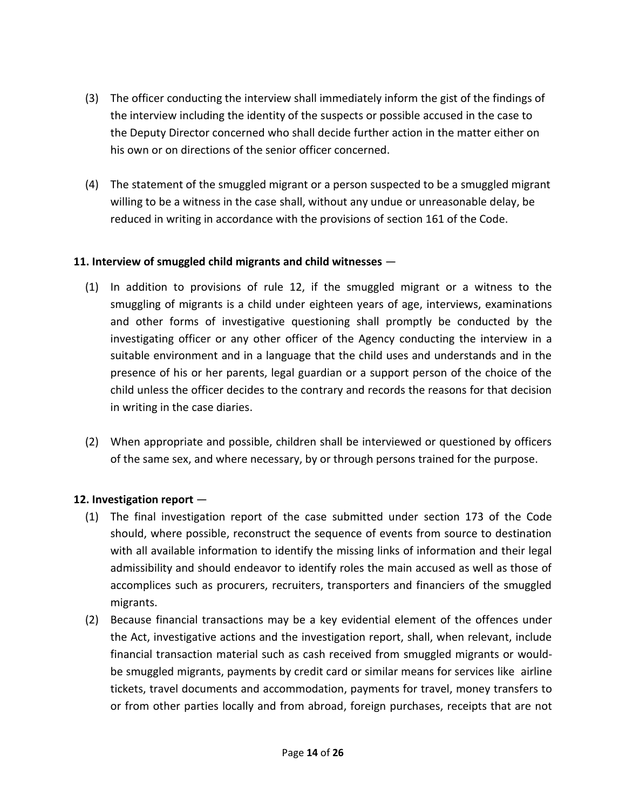- (3) The officer conducting the interview shall immediately inform the gist of the findings of the interview including the identity of the suspects or possible accused in the case to the Deputy Director concerned who shall decide further action in the matter either on his own or on directions of the senior officer concerned.
- (4) The statement of the smuggled migrant or a person suspected to be a smuggled migrant willing to be a witness in the case shall, without any undue or unreasonable delay, be reduced in writing in accordance with the provisions of section 161 of the Code.

### **11. Interview of smuggled child migrants and child witnesses** —

- (1) In addition to provisions of rule 12, if the smuggled migrant or a witness to the smuggling of migrants is a child under eighteen years of age, interviews, examinations and other forms of investigative questioning shall promptly be conducted by the investigating officer or any other officer of the Agency conducting the interview in a suitable environment and in a language that the child uses and understands and in the presence of his or her parents, legal guardian or a support person of the choice of the child unless the officer decides to the contrary and records the reasons for that decision in writing in the case diaries.
- (2) When appropriate and possible, children shall be interviewed or questioned by officers of the same sex, and where necessary, by or through persons trained for the purpose.

# **12. Investigation report** —

- (1) The final investigation report of the case submitted under section 173 of the Code should, where possible, reconstruct the sequence of events from source to destination with all available information to identify the missing links of information and their legal admissibility and should endeavor to identify roles the main accused as well as those of accomplices such as procurers, recruiters, transporters and financiers of the smuggled migrants.
- (2) Because financial transactions may be a key evidential element of the offences under the Act, investigative actions and the investigation report, shall, when relevant, include financial transaction material such as cash received from smuggled migrants or wouldbe smuggled migrants, payments by credit card or similar means for services like airline tickets, travel documents and accommodation, payments for travel, money transfers to or from other parties locally and from abroad, foreign purchases, receipts that are not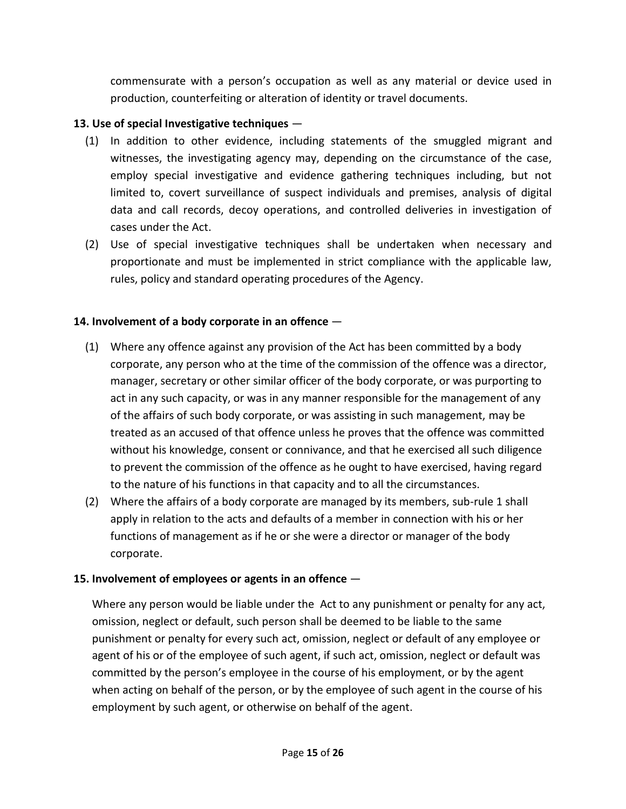commensurate with a person's occupation as well as any material or device used in production, counterfeiting or alteration of identity or travel documents.

## **13. Use of special Investigative techniques** —

- (1) In addition to other evidence, including statements of the smuggled migrant and witnesses, the investigating agency may, depending on the circumstance of the case, employ special investigative and evidence gathering techniques including, but not limited to, covert surveillance of suspect individuals and premises, analysis of digital data and call records, decoy operations, and controlled deliveries in investigation of cases under the Act.
- (2) Use of special investigative techniques shall be undertaken when necessary and proportionate and must be implemented in strict compliance with the applicable law, rules, policy and standard operating procedures of the Agency.

### **14. Involvement of a body corporate in an offence** —

- (1) Where any offence against any provision of the Act has been committed by a body corporate, any person who at the time of the commission of the offence was a director, manager, secretary or other similar officer of the body corporate, or was purporting to act in any such capacity, or was in any manner responsible for the management of any of the affairs of such body corporate, or was assisting in such management, may be treated as an accused of that offence unless he proves that the offence was committed without his knowledge, consent or connivance, and that he exercised all such diligence to prevent the commission of the offence as he ought to have exercised, having regard to the nature of his functions in that capacity and to all the circumstances.
- (2) Where the affairs of a body corporate are managed by its members, sub-rule 1 shall apply in relation to the acts and defaults of a member in connection with his or her functions of management as if he or she were a director or manager of the body corporate.

### **15. Involvement of employees or agents in an offence** —

Where any person would be liable under the Act to any punishment or penalty for any act, omission, neglect or default, such person shall be deemed to be liable to the same punishment or penalty for every such act, omission, neglect or default of any employee or agent of his or of the employee of such agent, if such act, omission, neglect or default was committed by the person's employee in the course of his employment, or by the agent when acting on behalf of the person, or by the employee of such agent in the course of his employment by such agent, or otherwise on behalf of the agent.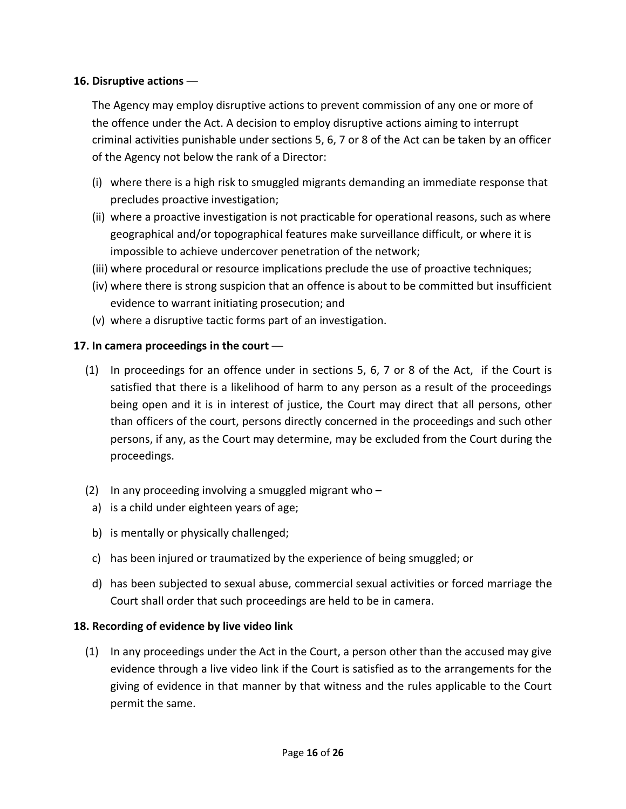### **16. Disruptive actions** —

The Agency may employ disruptive actions to prevent commission of any one or more of the offence under the Act. A decision to employ disruptive actions aiming to interrupt criminal activities punishable under sections 5, 6, 7 or 8 of the Act can be taken by an officer of the Agency not below the rank of a Director:

- (i) where there is a high risk to smuggled migrants demanding an immediate response that precludes proactive investigation;
- (ii) where a proactive investigation is not practicable for operational reasons, such as where geographical and/or topographical features make surveillance difficult, or where it is impossible to achieve undercover penetration of the network;
- (iii) where procedural or resource implications preclude the use of proactive techniques;
- (iv) where there is strong suspicion that an offence is about to be committed but insufficient evidence to warrant initiating prosecution; and
- (v) where a disruptive tactic forms part of an investigation.

### **17. In camera proceedings in the court** —

- (1) In proceedings for an offence under in sections 5, 6, 7 or 8 of the Act, if the Court is satisfied that there is a likelihood of harm to any person as a result of the proceedings being open and it is in interest of justice, the Court may direct that all persons, other than officers of the court, persons directly concerned in the proceedings and such other persons, if any, as the Court may determine, may be excluded from the Court during the proceedings.
- (2) In any proceeding involving a smuggled migrant who  $-$
- a) is a child under eighteen years of age;
- b) is mentally or physically challenged;
- c) has been injured or traumatized by the experience of being smuggled; or
- d) has been subjected to sexual abuse, commercial sexual activities or forced marriage the Court shall order that such proceedings are held to be in camera.

### **18. Recording of evidence by live video link**

(1) In any proceedings under the Act in the Court, a person other than the accused may give evidence through a live video link if the Court is satisfied as to the arrangements for the giving of evidence in that manner by that witness and the rules applicable to the Court permit the same.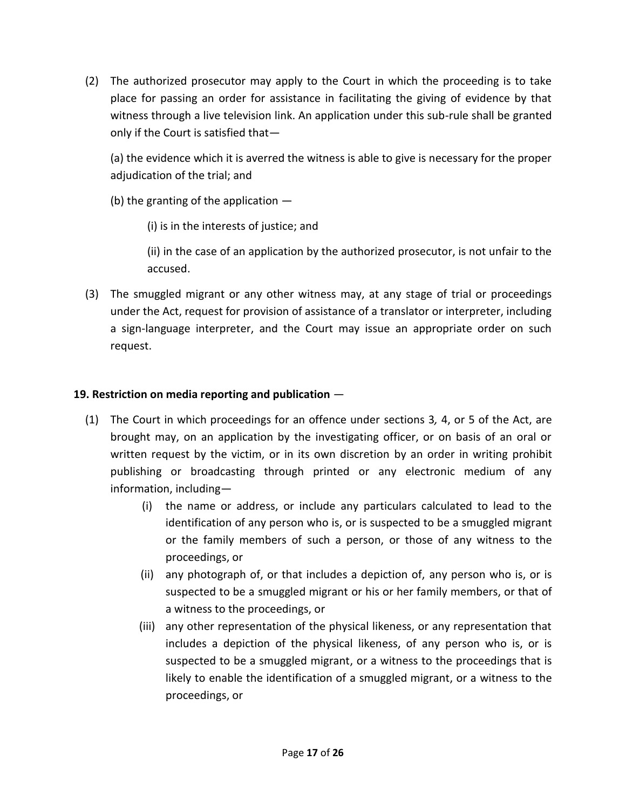(2) The authorized prosecutor may apply to the Court in which the proceeding is to take place for passing an order for assistance in facilitating the giving of evidence by that witness through a live television link. An application under this sub-rule shall be granted only if the Court is satisfied that—

(a) the evidence which it is averred the witness is able to give is necessary for the proper adjudication of the trial; and

(b) the granting of the application  $-$ 

(i) is in the interests of justice; and

(ii) in the case of an application by the authorized prosecutor, is not unfair to the accused.

(3) The smuggled migrant or any other witness may, at any stage of trial or proceedings under the Act, request for provision of assistance of a translator or interpreter, including a sign-language interpreter, and the Court may issue an appropriate order on such request.

### **19. Restriction on media reporting and publication** —

- (1) The Court in which proceedings for an offence under sections 3*,* 4, or 5 of the Act, are brought may, on an application by the investigating officer, or on basis of an oral or written request by the victim, or in its own discretion by an order in writing prohibit publishing or broadcasting through printed or any electronic medium of any information, including—
	- (i) the name or address, or include any particulars calculated to lead to the identification of any person who is, or is suspected to be a smuggled migrant or the family members of such a person, or those of any witness to the proceedings, or
	- (ii) any photograph of, or that includes a depiction of, any person who is, or is suspected to be a smuggled migrant or his or her family members, or that of a witness to the proceedings, or
	- (iii) any other representation of the physical likeness, or any representation that includes a depiction of the physical likeness, of any person who is, or is suspected to be a smuggled migrant, or a witness to the proceedings that is likely to enable the identification of a smuggled migrant, or a witness to the proceedings, or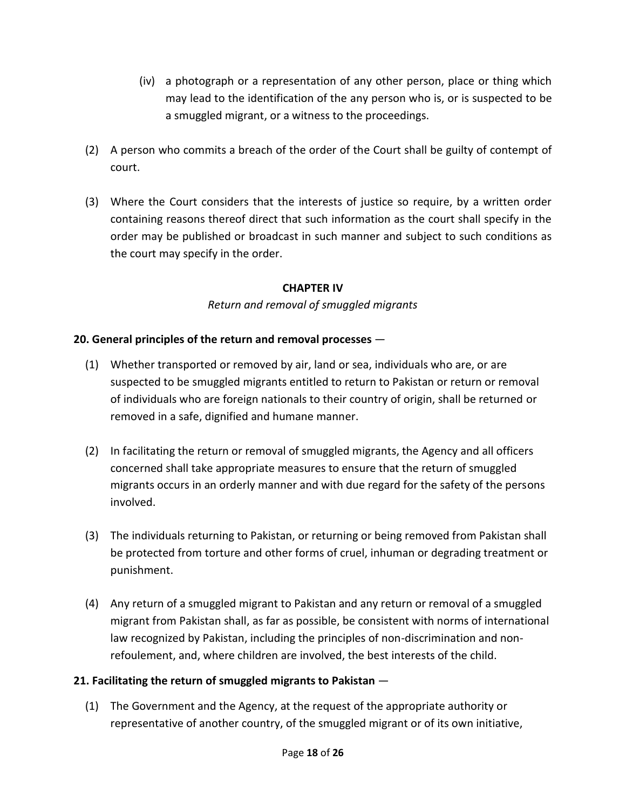- (iv) a photograph or a representation of any other person, place or thing which may lead to the identification of the any person who is, or is suspected to be a smuggled migrant, or a witness to the proceedings.
- (2) A person who commits a breach of the order of the Court shall be guilty of contempt of court.
- (3) Where the Court considers that the interests of justice so require, by a written order containing reasons thereof direct that such information as the court shall specify in the order may be published or broadcast in such manner and subject to such conditions as the court may specify in the order.

### **CHAPTER IV**

### *Return and removal of smuggled migrants*

### **20. General principles of the return and removal processes** —

- (1) Whether transported or removed by air, land or sea, individuals who are, or are suspected to be smuggled migrants entitled to return to Pakistan or return or removal of individuals who are foreign nationals to their country of origin, shall be returned or removed in a safe, dignified and humane manner.
- (2) In facilitating the return or removal of smuggled migrants, the Agency and all officers concerned shall take appropriate measures to ensure that the return of smuggled migrants occurs in an orderly manner and with due regard for the safety of the persons involved.
- (3) The individuals returning to Pakistan, or returning or being removed from Pakistan shall be protected from torture and other forms of cruel, inhuman or degrading treatment or punishment.
- (4) Any return of a smuggled migrant to Pakistan and any return or removal of a smuggled migrant from Pakistan shall, as far as possible, be consistent with norms of international law recognized by Pakistan, including the principles of non-discrimination and nonrefoulement, and, where children are involved, the best interests of the child.

### **21. Facilitating the return of smuggled migrants to Pakistan** —

(1) The Government and the Agency, at the request of the appropriate authority or representative of another country, of the smuggled migrant or of its own initiative,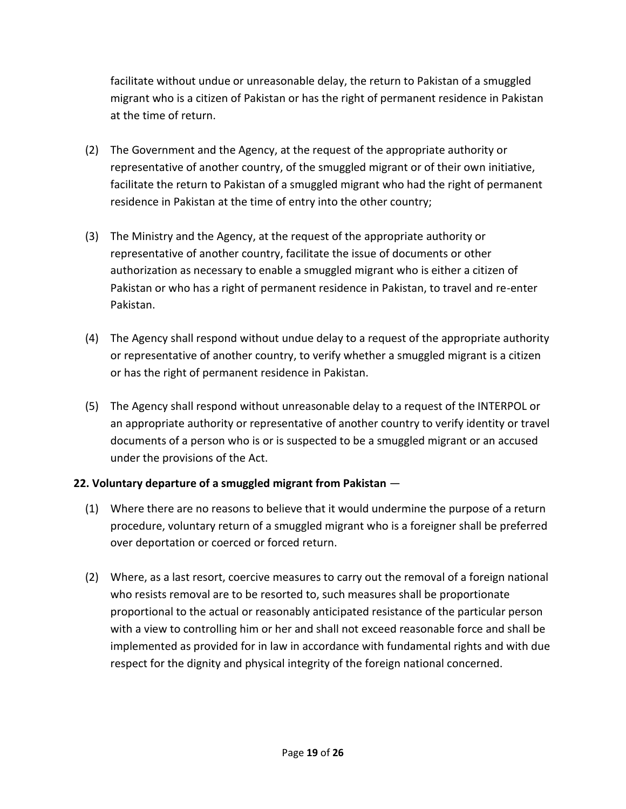facilitate without undue or unreasonable delay, the return to Pakistan of a smuggled migrant who is a citizen of Pakistan or has the right of permanent residence in Pakistan at the time of return.

- (2) The Government and the Agency, at the request of the appropriate authority or representative of another country, of the smuggled migrant or of their own initiative, facilitate the return to Pakistan of a smuggled migrant who had the right of permanent residence in Pakistan at the time of entry into the other country;
- (3) The Ministry and the Agency, at the request of the appropriate authority or representative of another country, facilitate the issue of documents or other authorization as necessary to enable a smuggled migrant who is either a citizen of Pakistan or who has a right of permanent residence in Pakistan, to travel and re-enter Pakistan.
- (4) The Agency shall respond without undue delay to a request of the appropriate authority or representative of another country, to verify whether a smuggled migrant is a citizen or has the right of permanent residence in Pakistan.
- (5) The Agency shall respond without unreasonable delay to a request of the INTERPOL or an appropriate authority or representative of another country to verify identity or travel documents of a person who is or is suspected to be a smuggled migrant or an accused under the provisions of the Act.

# **22. Voluntary departure of a smuggled migrant from Pakistan** —

- (1) Where there are no reasons to believe that it would undermine the purpose of a return procedure, voluntary return of a smuggled migrant who is a foreigner shall be preferred over deportation or coerced or forced return.
- (2) Where, as a last resort, coercive measures to carry out the removal of a foreign national who resists removal are to be resorted to, such measures shall be proportionate proportional to the actual or reasonably anticipated resistance of the particular person with a view to controlling him or her and shall not exceed reasonable force and shall be implemented as provided for in law in accordance with fundamental rights and with due respect for the dignity and physical integrity of the foreign national concerned.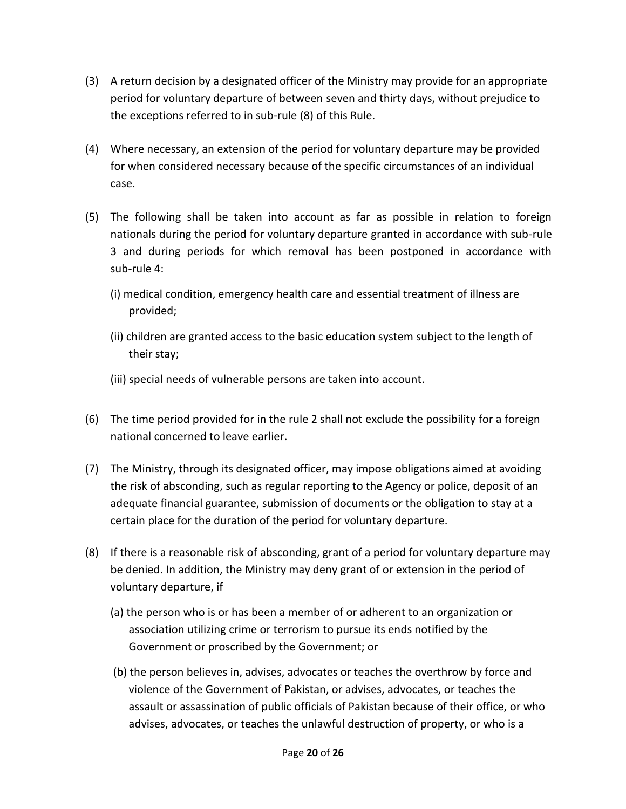- (3) A return decision by a designated officer of the Ministry may provide for an appropriate period for voluntary departure of between seven and thirty days, without prejudice to the exceptions referred to in sub-rule (8) of this Rule.
- (4) Where necessary, an extension of the period for voluntary departure may be provided for when considered necessary because of the specific circumstances of an individual case.
- (5) The following shall be taken into account as far as possible in relation to foreign nationals during the period for voluntary departure granted in accordance with sub-rule 3 and during periods for which removal has been postponed in accordance with sub-rule 4:
	- (i) medical condition, emergency health care and essential treatment of illness are provided;
	- (ii) children are granted access to the basic education system subject to the length of their stay;
	- (iii) special needs of vulnerable persons are taken into account.
- (6) The time period provided for in the rule 2 shall not exclude the possibility for a foreign national concerned to leave earlier.
- (7) The Ministry, through its designated officer, may impose obligations aimed at avoiding the risk of absconding, such as regular reporting to the Agency or police, deposit of an adequate financial guarantee, submission of documents or the obligation to stay at a certain place for the duration of the period for voluntary departure.
- (8) If there is a reasonable risk of absconding, grant of a period for voluntary departure may be denied. In addition, the Ministry may deny grant of or extension in the period of voluntary departure, if
	- (a) the person who is or has been a member of or adherent to an organization or association utilizing crime or terrorism to pursue its ends notified by the Government or proscribed by the Government; or
	- (b) the person believes in, advises, advocates or teaches the overthrow by force and violence of the Government of Pakistan, or advises, advocates, or teaches the assault or assassination of public officials of Pakistan because of their office, or who advises, advocates, or teaches the unlawful destruction of property, or who is a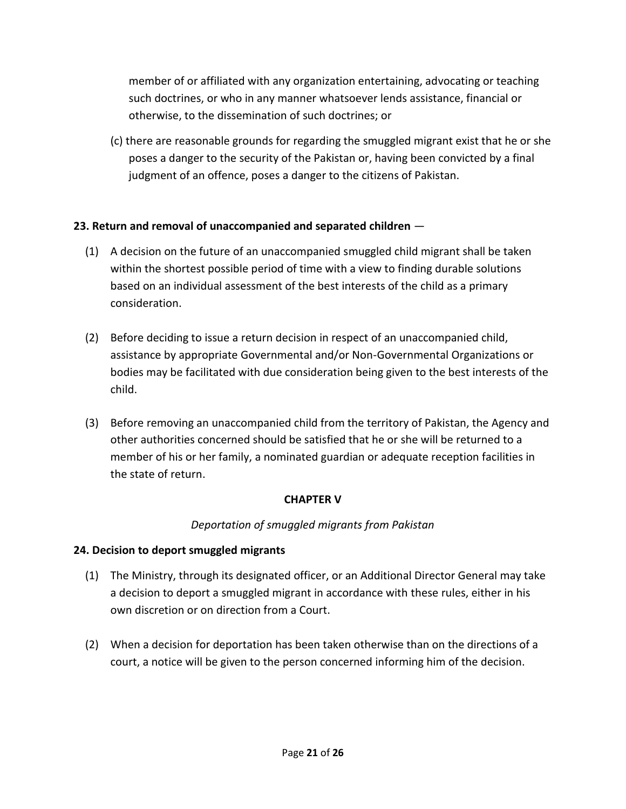member of or affiliated with any organization entertaining, advocating or teaching such doctrines, or who in any manner whatsoever lends assistance, financial or otherwise, to the dissemination of such doctrines; or

(c) there are reasonable grounds for regarding the smuggled migrant exist that he or she poses a danger to the security of the Pakistan or, having been convicted by a final judgment of an offence, poses a danger to the citizens of Pakistan.

# **23. Return and removal of unaccompanied and separated children** —

- (1) A decision on the future of an unaccompanied smuggled child migrant shall be taken within the shortest possible period of time with a view to finding durable solutions based on an individual assessment of the best interests of the child as a primary consideration.
- (2) Before deciding to issue a return decision in respect of an unaccompanied child, assistance by appropriate Governmental and/or Non-Governmental Organizations or bodies may be facilitated with due consideration being given to the best interests of the child.
- (3) Before removing an unaccompanied child from the territory of Pakistan, the Agency and other authorities concerned should be satisfied that he or she will be returned to a member of his or her family, a nominated guardian or adequate reception facilities in the state of return.

### **CHAPTER V**

### *Deportation of smuggled migrants from Pakistan*

### **24. Decision to deport smuggled migrants**

- (1) The Ministry, through its designated officer, or an Additional Director General may take a decision to deport a smuggled migrant in accordance with these rules, either in his own discretion or on direction from a Court.
- (2) When a decision for deportation has been taken otherwise than on the directions of a court, a notice will be given to the person concerned informing him of the decision.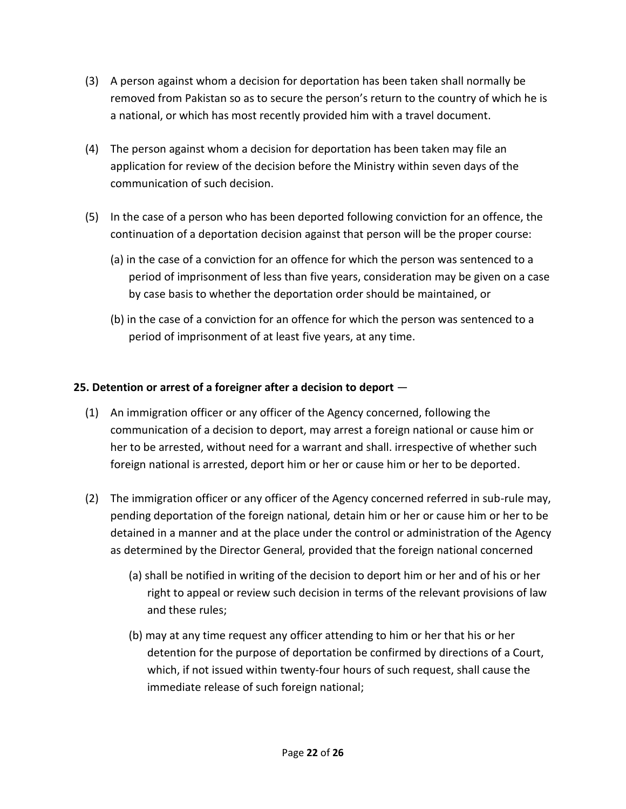- (3) A person against whom a decision for deportation has been taken shall normally be removed from Pakistan so as to secure the person's return to the country of which he is a national, or which has most recently provided him with a travel document.
- (4) The person against whom a decision for deportation has been taken may file an application for review of the decision before the Ministry within seven days of the communication of such decision.
- (5) In the case of a person who has been deported following conviction for an offence, the continuation of a deportation decision against that person will be the proper course:
	- (a) in the case of a conviction for an offence for which the person was sentenced to a period of imprisonment of less than five years, consideration may be given on a case by case basis to whether the deportation order should be maintained, or
	- (b) in the case of a conviction for an offence for which the person was sentenced to a period of imprisonment of at least five years, at any time.

# **25. Detention or arrest of a foreigner after a decision to deport** —

- (1) An immigration officer or any officer of the Agency concerned, following the communication of a decision to deport, may arrest a foreign national or cause him or her to be arrested, without need for a warrant and shall. irrespective of whether such foreign national is arrested, deport him or her or cause him or her to be deported.
- (2) The immigration officer or any officer of the Agency concerned referred in sub-rule may, pending deportation of the foreign national*,* detain him or her or cause him or her to be detained in a manner and at the place under the control or administration of the Agency as determined by the Director General*,* provided that the foreign national concerned
	- (a) shall be notified in writing of the decision to deport him or her and of his or her right to appeal or review such decision in terms of the relevant provisions of law and these rules;
	- (b) may at any time request any officer attending to him or her that his or her detention for the purpose of deportation be confirmed by directions of a Court, which, if not issued within twenty-four hours of such request, shall cause the immediate release of such foreign national;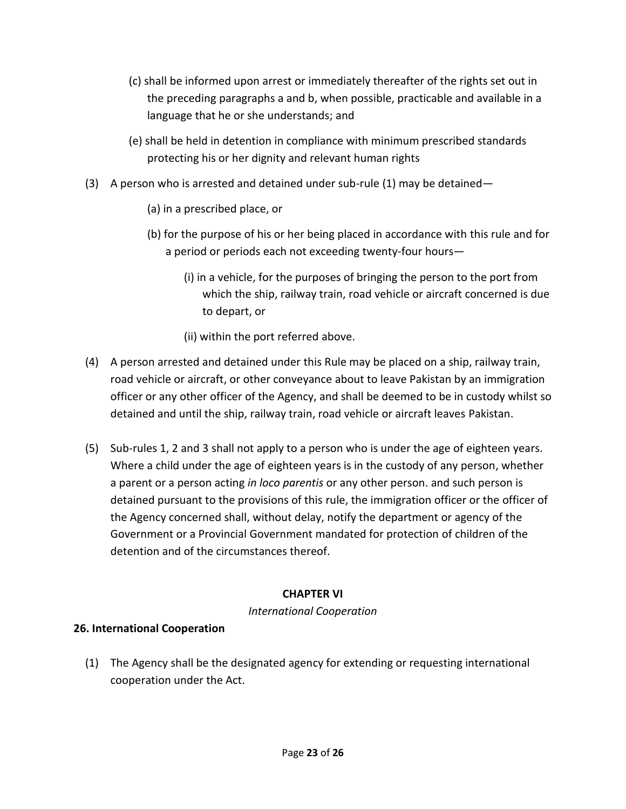- (c) shall be informed upon arrest or immediately thereafter of the rights set out in the preceding paragraphs a and b, when possible, practicable and available in a language that he or she understands; and
- (e) shall be held in detention in compliance with minimum prescribed standards protecting his or her dignity and relevant human rights
- (3) A person who is arrested and detained under sub-rule (1) may be detained—
	- (a) in a prescribed place, or
	- (b) for the purpose of his or her being placed in accordance with this rule and for a period or periods each not exceeding twenty-four hours—
		- (i) in a vehicle, for the purposes of bringing the person to the port from which the ship, railway train, road vehicle or aircraft concerned is due to depart, or
		- (ii) within the port referred above.
- (4) A person arrested and detained under this Rule may be placed on a ship, railway train, road vehicle or aircraft, or other conveyance about to leave Pakistan by an immigration officer or any other officer of the Agency, and shall be deemed to be in custody whilst so detained and until the ship, railway train, road vehicle or aircraft leaves Pakistan.
- (5) Sub-rules 1, 2 and 3 shall not apply to a person who is under the age of eighteen years. Where a child under the age of eighteen years is in the custody of any person, whether a parent or a person acting *in loco parentis* or any other person. and such person is detained pursuant to the provisions of this rule, the immigration officer or the officer of the Agency concerned shall, without delay, notify the department or agency of the Government or a Provincial Government mandated for protection of children of the detention and of the circumstances thereof.

### **CHAPTER VI**

*International Cooperation*

### **26. International Cooperation**

(1) The Agency shall be the designated agency for extending or requesting international cooperation under the Act.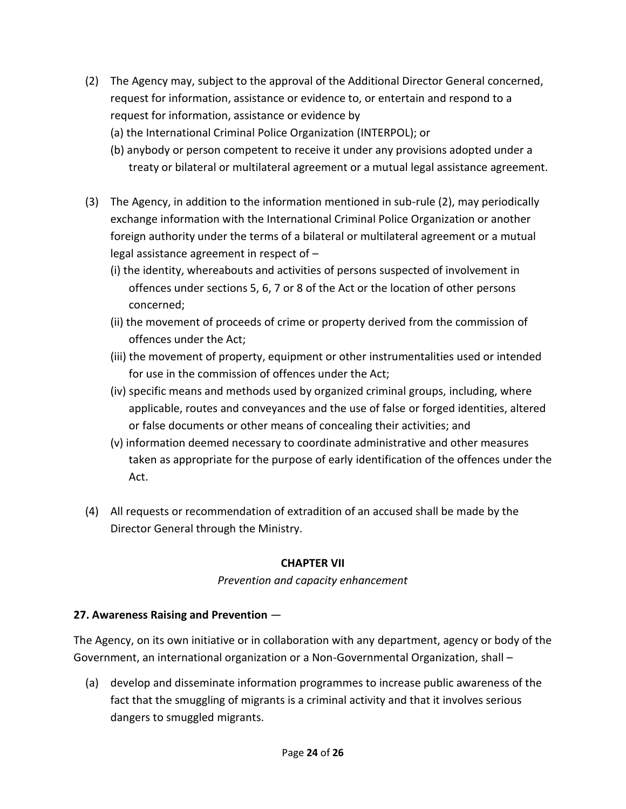- (2) The Agency may, subject to the approval of the Additional Director General concerned, request for information, assistance or evidence to, or entertain and respond to a request for information, assistance or evidence by
	- (a) the International Criminal Police Organization (INTERPOL); or
	- (b) anybody or person competent to receive it under any provisions adopted under a treaty or bilateral or multilateral agreement or a mutual legal assistance agreement.
- (3) The Agency, in addition to the information mentioned in sub-rule (2), may periodically exchange information with the International Criminal Police Organization or another foreign authority under the terms of a bilateral or multilateral agreement or a mutual legal assistance agreement in respect of –
	- (i) the identity, whereabouts and activities of persons suspected of involvement in offences under sections 5, 6, 7 or 8 of the Act or the location of other persons concerned;
	- (ii) the movement of proceeds of crime or property derived from the commission of offences under the Act;
	- (iii) the movement of property, equipment or other instrumentalities used or intended for use in the commission of offences under the Act;
	- (iv) specific means and methods used by organized criminal groups, including, where applicable, routes and conveyances and the use of false or forged identities, altered or false documents or other means of concealing their activities; and
	- (v) information deemed necessary to coordinate administrative and other measures taken as appropriate for the purpose of early identification of the offences under the Act.
- (4) All requests or recommendation of extradition of an accused shall be made by the Director General through the Ministry.

### **CHAPTER VII**

### *Prevention and capacity enhancement*

# **27. Awareness Raising and Prevention** —

The Agency, on its own initiative or in collaboration with any department, agency or body of the Government, an international organization or a Non-Governmental Organization, shall –

(a) develop and disseminate information programmes to increase public awareness of the fact that the smuggling of migrants is a criminal activity and that it involves serious dangers to smuggled migrants.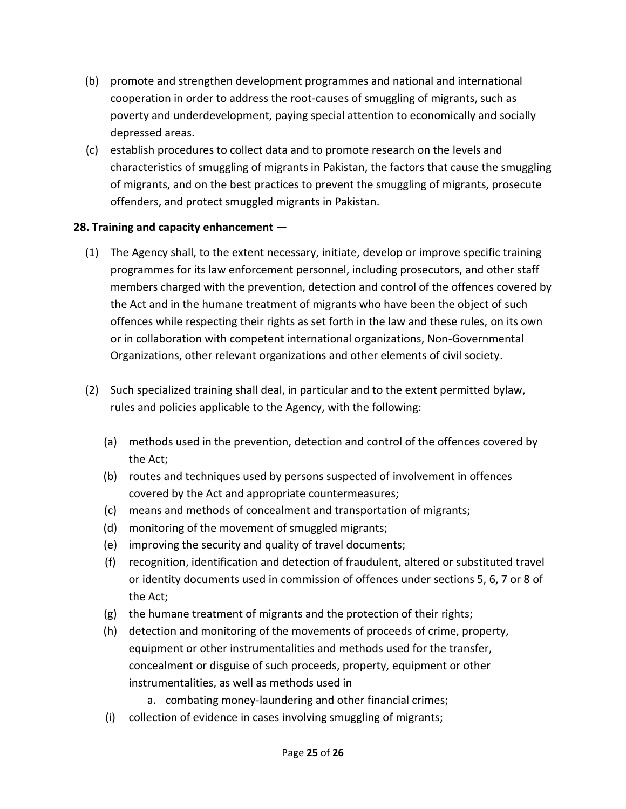- (b) promote and strengthen development programmes and national and international cooperation in order to address the root-causes of smuggling of migrants, such as poverty and underdevelopment, paying special attention to economically and socially depressed areas.
- (c) establish procedures to collect data and to promote research on the levels and characteristics of smuggling of migrants in Pakistan, the factors that cause the smuggling of migrants, and on the best practices to prevent the smuggling of migrants, prosecute offenders, and protect smuggled migrants in Pakistan.

### **28. Training and capacity enhancement** —

- (1) The Agency shall, to the extent necessary, initiate, develop or improve specific training programmes for its law enforcement personnel, including prosecutors, and other staff members charged with the prevention, detection and control of the offences covered by the Act and in the humane treatment of migrants who have been the object of such offences while respecting their rights as set forth in the law and these rules, on its own or in collaboration with competent international organizations, Non-Governmental Organizations, other relevant organizations and other elements of civil society.
- (2) Such specialized training shall deal, in particular and to the extent permitted bylaw, rules and policies applicable to the Agency, with the following:
	- (a) methods used in the prevention, detection and control of the offences covered by the Act;
	- (b) routes and techniques used by persons suspected of involvement in offences covered by the Act and appropriate countermeasures;
	- (c) means and methods of concealment and transportation of migrants;
	- (d) monitoring of the movement of smuggled migrants;
	- (e) improving the security and quality of travel documents;
	- (f) recognition, identification and detection of fraudulent, altered or substituted travel or identity documents used in commission of offences under sections 5, 6, 7 or 8 of the Act;
	- (g) the humane treatment of migrants and the protection of their rights;
	- (h) detection and monitoring of the movements of proceeds of crime, property, equipment or other instrumentalities and methods used for the transfer, concealment or disguise of such proceeds, property, equipment or other instrumentalities, as well as methods used in
		- a. combating money-laundering and other financial crimes;
	- (i) collection of evidence in cases involving smuggling of migrants;